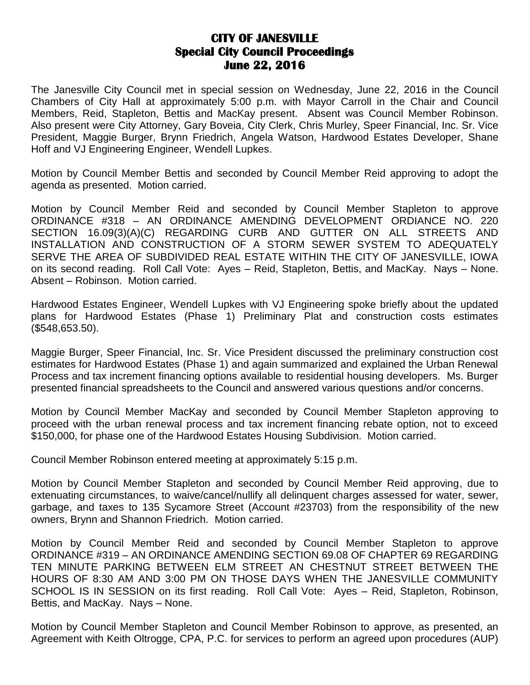## **CITY OF JANESVILLE Special City Council Proceedings June 22, 2016**

The Janesville City Council met in special session on Wednesday, June 22, 2016 in the Council Chambers of City Hall at approximately 5:00 p.m. with Mayor Carroll in the Chair and Council Members, Reid, Stapleton, Bettis and MacKay present. Absent was Council Member Robinson. Also present were City Attorney, Gary Boveia, City Clerk, Chris Murley, Speer Financial, Inc. Sr. Vice President, Maggie Burger, Brynn Friedrich, Angela Watson, Hardwood Estates Developer, Shane Hoff and VJ Engineering Engineer, Wendell Lupkes.

Motion by Council Member Bettis and seconded by Council Member Reid approving to adopt the agenda as presented. Motion carried.

Motion by Council Member Reid and seconded by Council Member Stapleton to approve ORDINANCE #318 – AN ORDINANCE AMENDING DEVELOPMENT ORDIANCE NO. 220 SECTION 16.09(3)(A)(C) REGARDING CURB AND GUTTER ON ALL STREETS AND INSTALLATION AND CONSTRUCTION OF A STORM SEWER SYSTEM TO ADEQUATELY SERVE THE AREA OF SUBDIVIDED REAL ESTATE WITHIN THE CITY OF JANESVILLE, IOWA on its second reading. Roll Call Vote: Ayes – Reid, Stapleton, Bettis, and MacKay. Nays – None. Absent – Robinson. Motion carried.

Hardwood Estates Engineer, Wendell Lupkes with VJ Engineering spoke briefly about the updated plans for Hardwood Estates (Phase 1) Preliminary Plat and construction costs estimates (\$548,653.50).

Maggie Burger, Speer Financial, Inc. Sr. Vice President discussed the preliminary construction cost estimates for Hardwood Estates (Phase 1) and again summarized and explained the Urban Renewal Process and tax increment financing options available to residential housing developers. Ms. Burger presented financial spreadsheets to the Council and answered various questions and/or concerns.

Motion by Council Member MacKay and seconded by Council Member Stapleton approving to proceed with the urban renewal process and tax increment financing rebate option, not to exceed \$150,000, for phase one of the Hardwood Estates Housing Subdivision. Motion carried.

Council Member Robinson entered meeting at approximately 5:15 p.m.

Motion by Council Member Stapleton and seconded by Council Member Reid approving, due to extenuating circumstances, to waive/cancel/nullify all delinquent charges assessed for water, sewer, garbage, and taxes to 135 Sycamore Street (Account #23703) from the responsibility of the new owners, Brynn and Shannon Friedrich. Motion carried.

Motion by Council Member Reid and seconded by Council Member Stapleton to approve ORDINANCE #319 – AN ORDINANCE AMENDING SECTION 69.08 OF CHAPTER 69 REGARDING TEN MINUTE PARKING BETWEEN ELM STREET AN CHESTNUT STREET BETWEEN THE HOURS OF 8:30 AM AND 3:00 PM ON THOSE DAYS WHEN THE JANESVILLE COMMUNITY SCHOOL IS IN SESSION on its first reading. Roll Call Vote: Ayes – Reid, Stapleton, Robinson, Bettis, and MacKay. Nays – None.

Motion by Council Member Stapleton and Council Member Robinson to approve, as presented, an Agreement with Keith Oltrogge, CPA, P.C. for services to perform an agreed upon procedures (AUP)